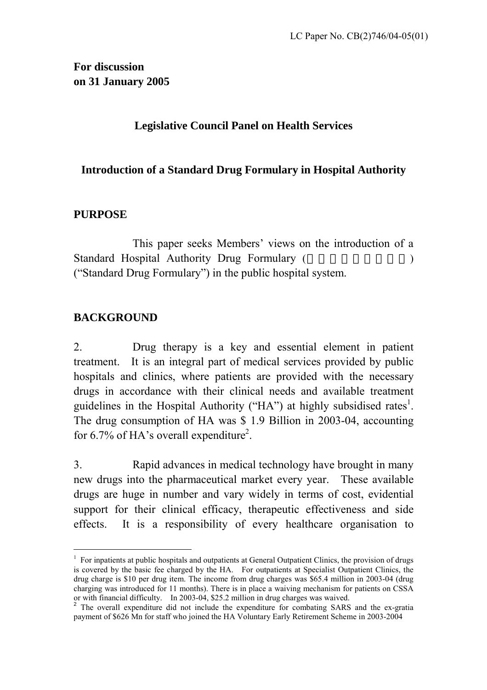### **Legislative Council Panel on Health Services**

### **Introduction of a Standard Drug Formulary in Hospital Authority**

### **PURPOSE**

 This paper seeks Members' views on the introduction of a Standard Hospital Authority Drug Formulary ( ("Standard Drug Formulary") in the public hospital system.

### **BACKGROUND**

 $\overline{a}$ 

2. Drug therapy is a key and essential element in patient treatment. It is an integral part of medical services provided by public hospitals and clinics, where patients are provided with the necessary drugs in accordance with their clinical needs and available treatment guidelines in the Hospital Authority ("HA") at highly subsidised rates<sup>1</sup>. The drug consumption of HA was \$ 1.9 Billion in 2003-04, accounting for 6.7% of HA's overall expenditure<sup>2</sup>.

3. Rapid advances in medical technology have brought in many new drugs into the pharmaceutical market every year. These available drugs are huge in number and vary widely in terms of cost, evidential support for their clinical efficacy, therapeutic effectiveness and side effects. It is a responsibility of every healthcare organisation to

<span id="page-0-0"></span><sup>&</sup>lt;sup>1</sup> For inpatients at public hospitals and outpatients at General Outpatient Clinics, the provision of drugs is covered by the basic fee charged by the HA. For outpatients at Specialist Outpatient Clinics, the drug charge is \$10 per drug item. The income from drug charges was \$65.4 million in 2003-04 (drug charging was introduced for 11 months). There is in place a waiving mechanism for patients on CSSA or with financial difficulty. In 2003-04, \$25.2 million in drug charges was waived.

<span id="page-0-1"></span><sup>&</sup>lt;sup>2</sup> The overall expenditure did not include the expenditure for combating SARS and the ex-gratia payment of \$626 Mn for staff who joined the HA Voluntary Early Retirement Scheme in 2003-2004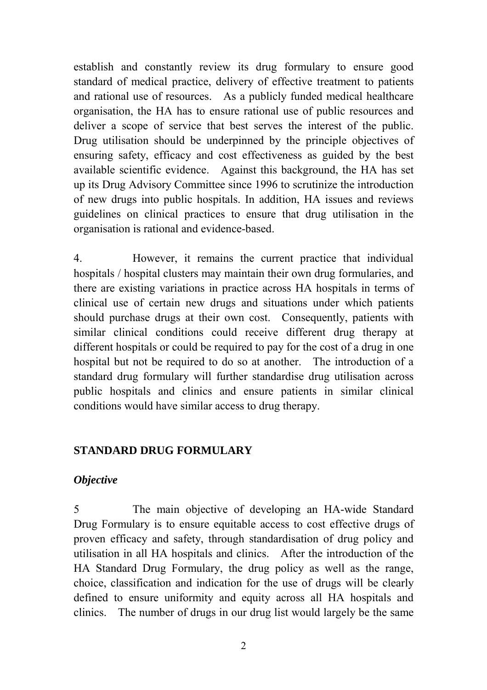establish and constantly review its drug formulary to ensure good standard of medical practice, delivery of effective treatment to patients and rational use of resources. As a publicly funded medical healthcare organisation, the HA has to ensure rational use of public resources and deliver a scope of service that best serves the interest of the public. Drug utilisation should be underpinned by the principle objectives of ensuring safety, efficacy and cost effectiveness as guided by the best available scientific evidence. Against this background, the HA has set up its Drug Advisory Committee since 1996 to scrutinize the introduction of new drugs into public hospitals. In addition, HA issues and reviews guidelines on clinical practices to ensure that drug utilisation in the organisation is rational and evidence-based.

4. However, it remains the current practice that individual hospitals / hospital clusters may maintain their own drug formularies, and there are existing variations in practice across HA hospitals in terms of clinical use of certain new drugs and situations under which patients should purchase drugs at their own cost. Consequently, patients with similar clinical conditions could receive different drug therapy at different hospitals or could be required to pay for the cost of a drug in one hospital but not be required to do so at another. The introduction of a standard drug formulary will further standardise drug utilisation across public hospitals and clinics and ensure patients in similar clinical conditions would have similar access to drug therapy.

### **STANDARD DRUG FORMULARY**

#### *Objective*

5 The main objective of developing an HA-wide Standard Drug Formulary is to ensure equitable access to cost effective drugs of proven efficacy and safety, through standardisation of drug policy and utilisation in all HA hospitals and clinics. After the introduction of the HA Standard Drug Formulary, the drug policy as well as the range, choice, classification and indication for the use of drugs will be clearly defined to ensure uniformity and equity across all HA hospitals and clinics. The number of drugs in our drug list would largely be the same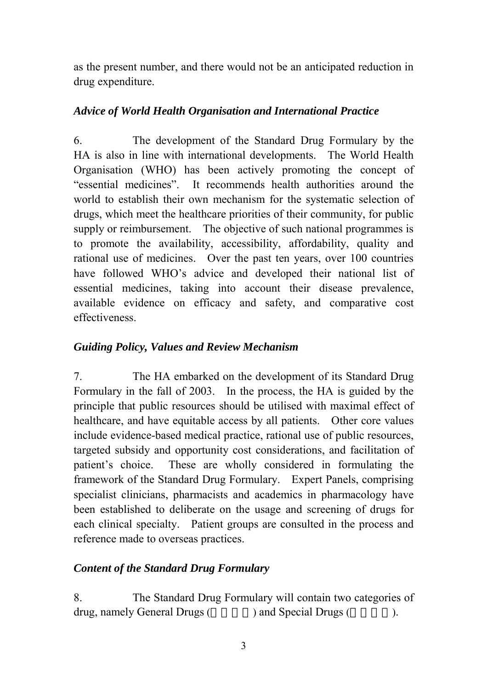as the present number, and there would not be an anticipated reduction in drug expenditure.

### *Advice of World Health Organisation and International Practice*

6. The development of the Standard Drug Formulary by the HA is also in line with international developments. The World Health Organisation (WHO) has been actively promoting the concept of "essential medicines". It recommends health authorities around the world to establish their own mechanism for the systematic selection of drugs, which meet the healthcare priorities of their community, for public supply or reimbursement. The objective of such national programmes is to promote the availability, accessibility, affordability, quality and rational use of medicines. Over the past ten years, over 100 countries have followed WHO's advice and developed their national list of essential medicines, taking into account their disease prevalence, available evidence on efficacy and safety, and comparative cost effectiveness.

### *Guiding Policy, Values and Review Mechanism*

7. The HA embarked on the development of its Standard Drug Formulary in the fall of 2003. In the process, the HA is guided by the principle that public resources should be utilised with maximal effect of healthcare, and have equitable access by all patients. Other core values include evidence-based medical practice, rational use of public resources, targeted subsidy and opportunity cost considerations, and facilitation of patient's choice. These are wholly considered in formulating the framework of the Standard Drug Formulary. Expert Panels, comprising specialist clinicians, pharmacists and academics in pharmacology have been established to deliberate on the usage and screening of drugs for each clinical specialty. Patient groups are consulted in the process and reference made to overseas practices.

### *Content of the Standard Drug Formulary*

8. The Standard Drug Formulary will contain two categories of drug, namely General Drugs (approximately Drugs (approximately  $\alpha$ ).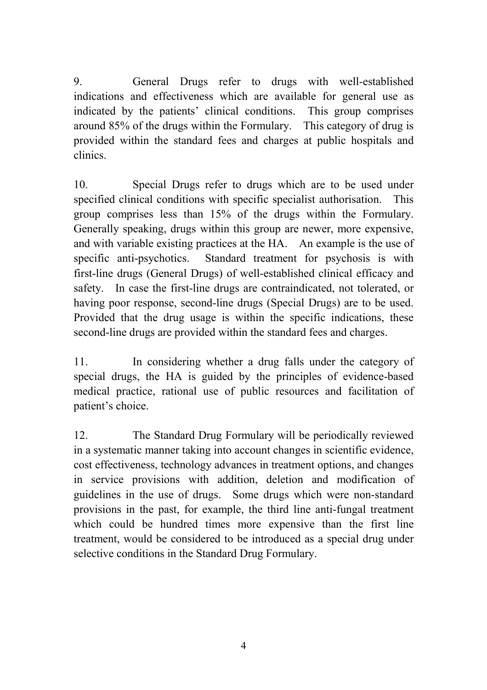9. General Drugs refer to drugs with well-established indications and effectiveness which are available for general use as indicated by the patients' clinical conditions. This group comprises around 85% of the drugs within the Formulary. This category of drug is provided within the standard fees and charges at public hospitals and clinics.

10. Special Drugs refer to drugs which are to be used under specified clinical conditions with specific specialist authorisation. This group comprises less than 15% of the drugs within the Formulary. Generally speaking, drugs within this group are newer, more expensive, and with variable existing practices at the HA. An example is the use of specific anti-psychotics. Standard treatment for psychosis is with first-line drugs (General Drugs) of well-established clinical efficacy and safety. In case the first-line drugs are contraindicated, not tolerated, or having poor response, second-line drugs (Special Drugs) are to be used. Provided that the drug usage is within the specific indications, these second-line drugs are provided within the standard fees and charges.

11. In considering whether a drug falls under the category of special drugs, the HA is guided by the principles of evidence-based medical practice, rational use of public resources and facilitation of patient's choice.

12. The Standard Drug Formulary will be periodically reviewed in a systematic manner taking into account changes in scientific evidence, cost effectiveness, technology advances in treatment options, and changes in service provisions with addition, deletion and modification of guidelines in the use of drugs. Some drugs which were non-standard provisions in the past, for example, the third line anti-fungal treatment which could be hundred times more expensive than the first line treatment, would be considered to be introduced as a special drug under selective conditions in the Standard Drug Formulary.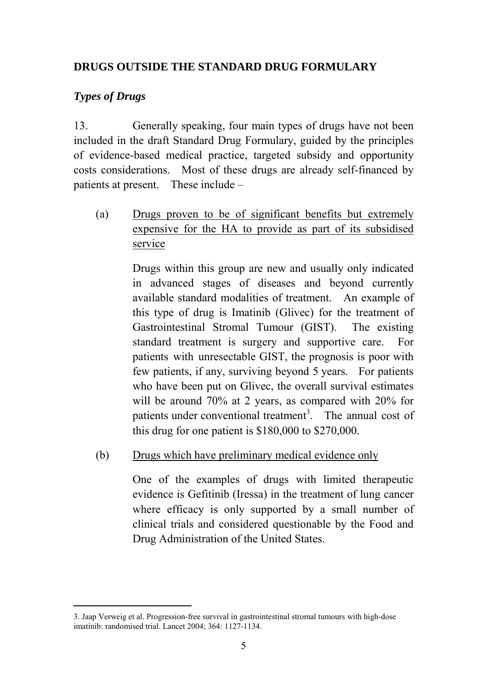## **DRUGS OUTSIDE THE STANDARD DRUG FORMULARY**

### *Types of Drugs*

 $\overline{a}$ 

13. Generally speaking, four main types of drugs have not been included in the draft Standard Drug Formulary, guided by the principles of evidence-based medical practice, targeted subsidy and opportunity costs considerations. Most of these drugs are already self-financed by patients at present. These include –

(a) Drugs proven to be of significant benefits but extremely expensive for the HA to provide as part of its subsidised service

> Drugs within this group are new and usually only indicated in advanced stages of diseases and beyond currently available standard modalities of treatment. An example of this type of drug is Imatinib (Glivec) for the treatment of Gastrointestinal Stromal Tumour (GIST). The existing standard treatment is surgery and supportive care. For patients with unresectable GIST, the prognosis is poor with few patients, if any, surviving beyond 5 years. For patients who have been put on Glivec, the overall survival estimates will be around 70% at 2 years, as compared with 20% for patients under conventional treatment<sup>[3](#page-4-0)</sup>. The annual cost of this drug for one patient is \$180,000 to \$270,000.

(b) Drugs which have preliminary medical evidence only

One of the examples of drugs with limited therapeutic evidence is Gefitinib (Iressa) in the treatment of lung cancer where efficacy is only supported by a small number of clinical trials and considered questionable by the Food and Drug Administration of the United States.

<span id="page-4-0"></span><sup>3.</sup> Jaap Verweig et al. Progression-free survival in gastrointestinal stromal tumours with high-dose imatinib: randomised trial. Lancet 2004; 364: 1127-1134.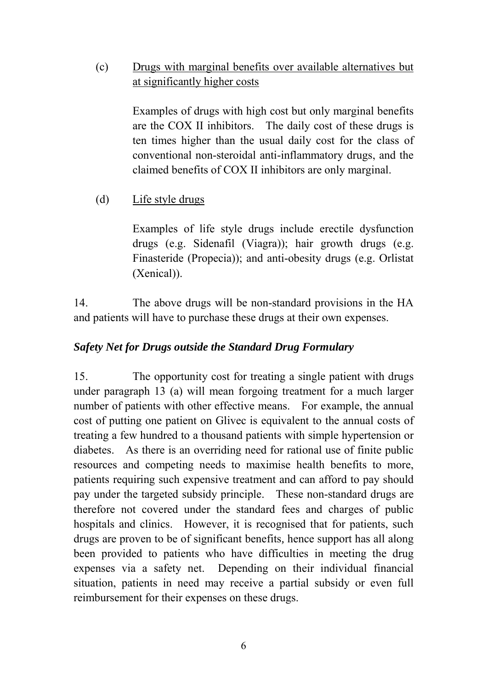## (c) Drugs with marginal benefits over available alternatives but at significantly higher costs

Examples of drugs with high cost but only marginal benefits are the COX II inhibitors. The daily cost of these drugs is ten times higher than the usual daily cost for the class of conventional non-steroidal anti-inflammatory drugs, and the claimed benefits of COX II inhibitors are only marginal.

(d) Life style drugs

Examples of life style drugs include erectile dysfunction drugs (e.g. Sidenafil (Viagra)); hair growth drugs (e.g. Finasteride (Propecia)); and anti-obesity drugs (e.g. Orlistat (Xenical)).

14. The above drugs will be non-standard provisions in the HA and patients will have to purchase these drugs at their own expenses.

### *Safety Net for Drugs outside the Standard Drug Formulary*

15. The opportunity cost for treating a single patient with drugs under paragraph 13 (a) will mean forgoing treatment for a much larger number of patients with other effective means. For example, the annual cost of putting one patient on Glivec is equivalent to the annual costs of treating a few hundred to a thousand patients with simple hypertension or diabetes. As there is an overriding need for rational use of finite public resources and competing needs to maximise health benefits to more, patients requiring such expensive treatment and can afford to pay should pay under the targeted subsidy principle. These non-standard drugs are therefore not covered under the standard fees and charges of public hospitals and clinics. However, it is recognised that for patients, such drugs are proven to be of significant benefits*,* hence support has all along been provided to patients who have difficulties in meeting the drug expenses via a safety net. Depending on their individual financial situation, patients in need may receive a partial subsidy or even full reimbursement for their expenses on these drugs.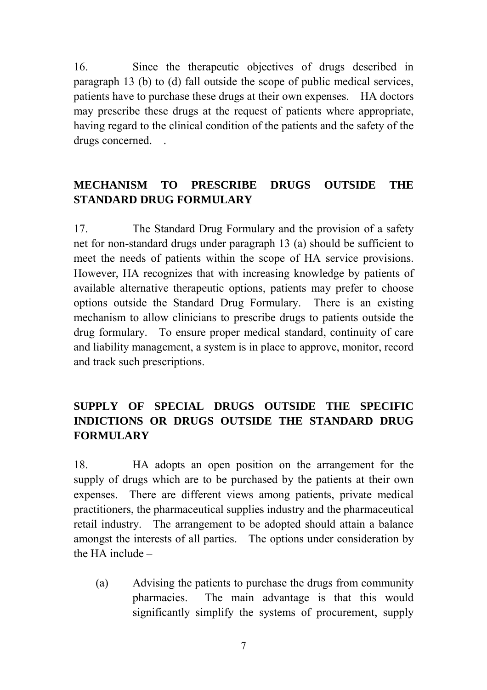16. Since the therapeutic objectives of drugs described in paragraph 13 (b) to (d) fall outside the scope of public medical services, patients have to purchase these drugs at their own expenses. HA doctors may prescribe these drugs at the request of patients where appropriate, having regard to the clinical condition of the patients and the safety of the drugs concerned.

# **MECHANISM TO PRESCRIBE DRUGS OUTSIDE THE STANDARD DRUG FORMULARY**

17. The Standard Drug Formulary and the provision of a safety net for non-standard drugs under paragraph 13 (a) should be sufficient to meet the needs of patients within the scope of HA service provisions. However, HA recognizes that with increasing knowledge by patients of available alternative therapeutic options, patients may prefer to choose options outside the Standard Drug Formulary. There is an existing mechanism to allow clinicians to prescribe drugs to patients outside the drug formulary. To ensure proper medical standard, continuity of care and liability management, a system is in place to approve, monitor, record and track such prescriptions.

## **SUPPLY OF SPECIAL DRUGS OUTSIDE THE SPECIFIC INDICTIONS OR DRUGS OUTSIDE THE STANDARD DRUG FORMULARY**

18. HA adopts an open position on the arrangement for the supply of drugs which are to be purchased by the patients at their own expenses. There are different views among patients, private medical practitioners, the pharmaceutical supplies industry and the pharmaceutical retail industry. The arrangement to be adopted should attain a balance amongst the interests of all parties. The options under consideration by the HA include  $-$ 

(a) Advising the patients to purchase the drugs from community pharmacies. The main advantage is that this would significantly simplify the systems of procurement, supply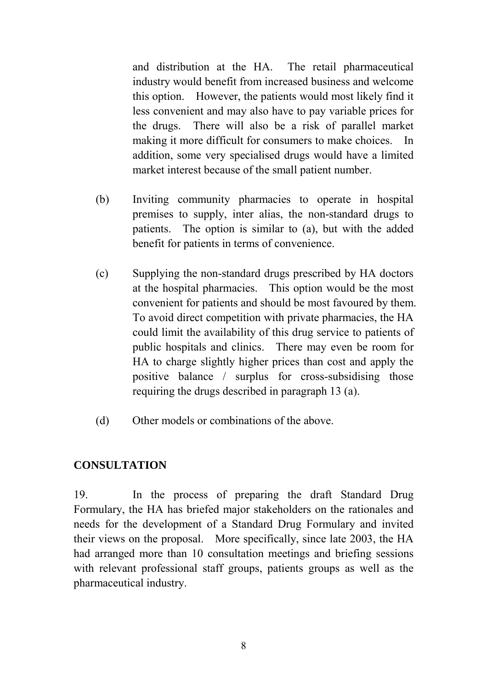and distribution at the HA. The retail pharmaceutical industry would benefit from increased business and welcome this option. However, the patients would most likely find it less convenient and may also have to pay variable prices for the drugs. There will also be a risk of parallel market making it more difficult for consumers to make choices. In addition, some very specialised drugs would have a limited market interest because of the small patient number.

- (b) Inviting community pharmacies to operate in hospital premises to supply, inter alias, the non-standard drugs to patients. The option is similar to (a), but with the added benefit for patients in terms of convenience.
- (c) Supplying the non-standard drugs prescribed by HA doctors at the hospital pharmacies. This option would be the most convenient for patients and should be most favoured by them. To avoid direct competition with private pharmacies, the HA could limit the availability of this drug service to patients of public hospitals and clinics. There may even be room for HA to charge slightly higher prices than cost and apply the positive balance / surplus for cross-subsidising those requiring the drugs described in paragraph 13 (a).
- (d) Other models or combinations of the above.

### **CONSULTATION**

19. In the process of preparing the draft Standard Drug Formulary, the HA has briefed major stakeholders on the rationales and needs for the development of a Standard Drug Formulary and invited their views on the proposal. More specifically, since late 2003, the HA had arranged more than 10 consultation meetings and briefing sessions with relevant professional staff groups, patients groups as well as the pharmaceutical industry.